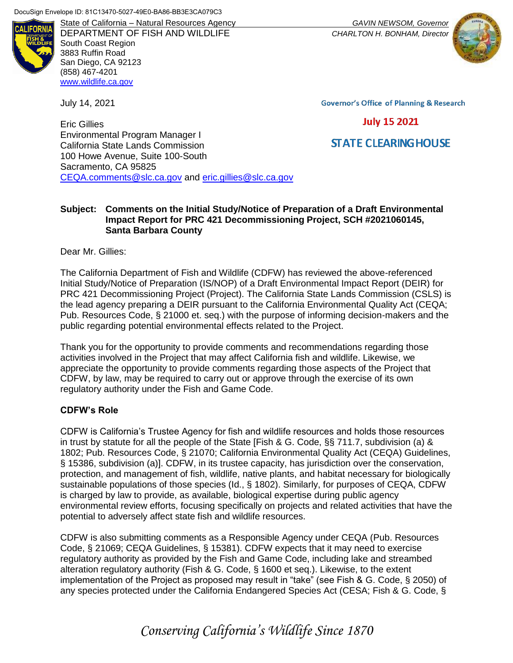

DEPARTMENT OF FISH AND WILDLIFE *CHARLTON H. BONHAM, Director* South Coast Region 3883 Ruffin Road San Diego, CA 92123 (858) 467-4201 [www.wildlife.ca.gov](file:///C:/Users/Jamie/Desktop/www.wildlife.ca.gov)

July 14, 2021

**Governor's Office of Planning & Research** 

## **July 15 2021**

**STATE CLEARING HOUSE** 

Eric Gillies Environmental Program Manager I California State Lands Commission 100 Howe Avenue, Suite 100-South Sacramento, CA 95825 [CEQA.comments@slc.ca.gov](file:///C:/Users/kschmoker/Desktop/My%20CEQA%20Letters/2020/CEQA.comments@slc.ca.gov) and [eric.gillies@slc.ca.gov](file:///C:/Users/kschmoker/Desktop/My%20CEQA%20Letters/2020/eric.gillies@slc.ca.gov)

#### **Subject: Comments on the Initial Study/Notice of Preparation of a Draft Environmental Impact Report for PRC 421 Decommissioning Project, SCH #2021060145, Santa Barbara County**

Dear Mr. Gillies:

The California Department of Fish and Wildlife (CDFW) has reviewed the above-referenced Initial Study/Notice of Preparation (IS/NOP) of a Draft Environmental Impact Report (DEIR) for PRC 421 Decommissioning Project (Project). The California State Lands Commission (CSLS) is the lead agency preparing a DEIR pursuant to the California Environmental Quality Act (CEQA; Pub. Resources Code, § 21000 et. seq.) with the purpose of informing decision-makers and the public regarding potential environmental effects related to the Project.

Thank you for the opportunity to provide comments and recommendations regarding those activities involved in the Project that may affect California fish and wildlife. Likewise, we appreciate the opportunity to provide comments regarding those aspects of the Project that CDFW, by law, may be required to carry out or approve through the exercise of its own regulatory authority under the Fish and Game Code.

### **CDFW's Role**

CDFW is California's Trustee Agency for fish and wildlife resources and holds those resources in trust by statute for all the people of the State [Fish & G. Code, §§ 711.7, subdivision (a) & 1802; Pub. Resources Code, § 21070; California Environmental Quality Act (CEQA) Guidelines, § 15386, subdivision (a)]. CDFW, in its trustee capacity, has jurisdiction over the conservation, protection, and management of fish, wildlife, native plants, and habitat necessary for biologically sustainable populations of those species (Id., § 1802). Similarly, for purposes of CEQA, CDFW is charged by law to provide, as available, biological expertise during public agency environmental review efforts, focusing specifically on projects and related activities that have the potential to adversely affect state fish and wildlife resources.

CDFW is also submitting comments as a Responsible Agency under CEQA (Pub. Resources Code, § 21069; CEQA Guidelines, § 15381). CDFW expects that it may need to exercise regulatory authority as provided by the Fish and Game Code, including lake and streambed alteration regulatory authority (Fish & G. Code, § 1600 et seq.). Likewise, to the extent implementation of the Project as proposed may result in "take" (see Fish & G. Code, § 2050) of any species protected under the California Endangered Species Act (CESA; Fish & G. Code, §

*Conserving California's Wildlife Since 1870*

State of California – Natural Resources Agency *GAVIN NEWSOM, Governor*

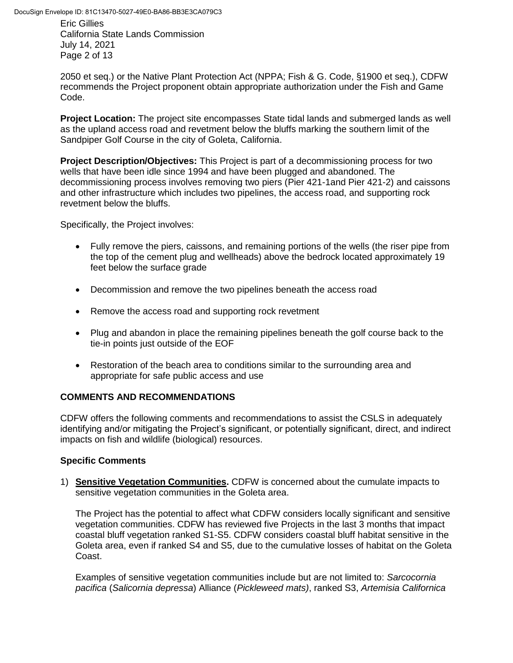Eric Gillies California State Lands Commission July 14, 2021 Page 2 of 13

2050 et seq.) or the Native Plant Protection Act (NPPA; Fish & G. Code, §1900 et seq.), CDFW recommends the Project proponent obtain appropriate authorization under the Fish and Game Code.

**Project Location:** The project site encompasses State tidal lands and submerged lands as well as the upland access road and revetment below the bluffs marking the southern limit of the Sandpiper Golf Course in the city of Goleta, California.

**Project Description/Objectives:** This Project is part of a decommissioning process for two wells that have been idle since 1994 and have been plugged and abandoned. The decommissioning process involves removing two piers (Pier 421-1and Pier 421-2) and caissons and other infrastructure which includes two pipelines, the access road, and supporting rock revetment below the bluffs.

Specifically, the Project involves:

- Fully remove the piers, caissons, and remaining portions of the wells (the riser pipe from the top of the cement plug and wellheads) above the bedrock located approximately 19 feet below the surface grade
- Decommission and remove the two pipelines beneath the access road
- Remove the access road and supporting rock revetment
- Plug and abandon in place the remaining pipelines beneath the golf course back to the tie-in points just outside of the EOF
- Restoration of the beach area to conditions similar to the surrounding area and appropriate for safe public access and use

# **COMMENTS AND RECOMMENDATIONS**

CDFW offers the following comments and recommendations to assist the CSLS in adequately identifying and/or mitigating the Project's significant, or potentially significant, direct, and indirect impacts on fish and wildlife (biological) resources.

### **Specific Comments**

1) **Sensitive Vegetation Communities.** CDFW is concerned about the cumulate impacts to sensitive vegetation communities in the Goleta area.

The Project has the potential to affect what CDFW considers locally significant and sensitive vegetation communities. CDFW has reviewed five Projects in the last 3 months that impact coastal bluff vegetation ranked S1-S5. CDFW considers coastal bluff habitat sensitive in the Goleta area, even if ranked S4 and S5, due to the cumulative losses of habitat on the Goleta Coast.

Examples of sensitive vegetation communities include but are not limited to: *Sarcocornia pacifica* (*Salicornia depressa*) Alliance (*Pickleweed mats)*, ranked S3, *Artemisia Californica*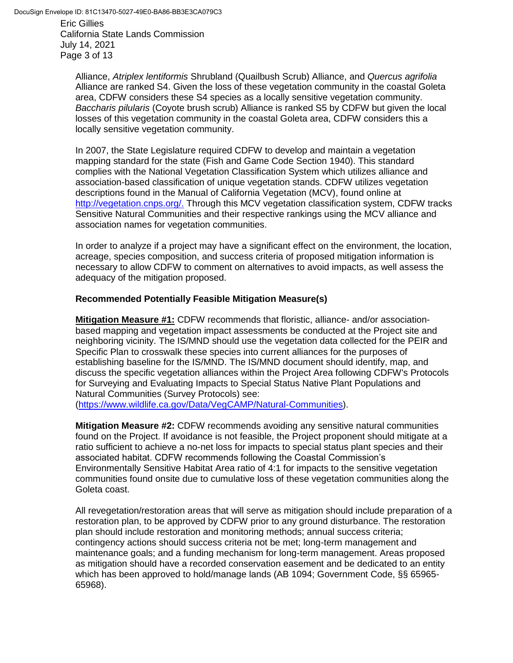Eric Gillies California State Lands Commission July 14, 2021 Page 3 of 13

> Alliance, *Atriplex lentiformis* Shrubland (Quailbush Scrub) Alliance, and *Quercus agrifolia* Alliance are ranked S4. Given the loss of these vegetation community in the coastal Goleta area, CDFW considers these S4 species as a locally sensitive vegetation community. *Baccharis pilularis* (Coyote brush scrub) Alliance is ranked S5 by CDFW but given the local losses of this vegetation community in the coastal Goleta area, CDFW considers this a locally sensitive vegetation community.

In 2007, the State Legislature required CDFW to develop and maintain a vegetation mapping standard for the state (Fish and Game Code Section 1940). This standard complies with the National Vegetation Classification System which utilizes alliance and association-based classification of unique vegetation stands. CDFW utilizes vegetation descriptions found in the Manual of California Vegetation (MCV), found online at [http://vegetation.cnps.org/.](http://vegetation.cnps.org/) Through this MCV vegetation classification system, CDFW tracks Sensitive Natural Communities and their respective rankings using the MCV alliance and association names for vegetation communities.

In order to analyze if a project may have a significant effect on the environment, the location, acreage, species composition, and success criteria of proposed mitigation information is necessary to allow CDFW to comment on alternatives to avoid impacts, as well assess the adequacy of the mitigation proposed.

#### **Recommended Potentially Feasible Mitigation Measure(s)**

**Mitigation Measure #1:** CDFW recommends that floristic, alliance- and/or associationbased mapping and vegetation impact assessments be conducted at the Project site and neighboring vicinity. The IS/MND should use the vegetation data collected for the PEIR and Specific Plan to crosswalk these species into current alliances for the purposes of establishing baseline for the IS/MND. The IS/MND document should identify, map, and discuss the specific vegetation alliances within the Project Area following CDFW's Protocols for Surveying and Evaluating Impacts to Special Status Native Plant Populations and Natural Communities (Survey Protocols) see:

[\(https://www.wildlife.ca.gov/Data/VegCAMP/Natural-Communities\)](https://www.wildlife.ca.gov/Data/VegCAMP/Natural-Communities).

**Mitigation Measure #2:** CDFW recommends avoiding any sensitive natural communities found on the Project. If avoidance is not feasible, the Project proponent should mitigate at a ratio sufficient to achieve a no-net loss for impacts to special status plant species and their associated habitat. CDFW recommends following the Coastal Commission's Environmentally Sensitive Habitat Area ratio of 4:1 for impacts to the sensitive vegetation communities found onsite due to cumulative loss of these vegetation communities along the Goleta coast.

All revegetation/restoration areas that will serve as mitigation should include preparation of a restoration plan, to be approved by CDFW prior to any ground disturbance. The restoration plan should include restoration and monitoring methods; annual success criteria; contingency actions should success criteria not be met; long-term management and maintenance goals; and a funding mechanism for long-term management. Areas proposed as mitigation should have a recorded conservation easement and be dedicated to an entity which has been approved to hold/manage lands (AB 1094; Government Code, §§ 65965- 65968).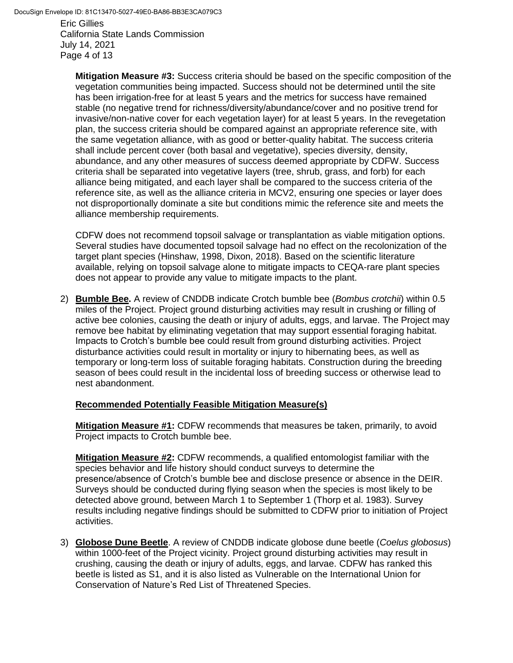Eric Gillies California State Lands Commission July 14, 2021 Page 4 of 13

> **Mitigation Measure #3:** Success criteria should be based on the specific composition of the vegetation communities being impacted. Success should not be determined until the site has been irrigation-free for at least 5 years and the metrics for success have remained stable (no negative trend for richness/diversity/abundance/cover and no positive trend for invasive/non-native cover for each vegetation layer) for at least 5 years. In the revegetation plan, the success criteria should be compared against an appropriate reference site, with the same vegetation alliance, with as good or better-quality habitat. The success criteria shall include percent cover (both basal and vegetative), species diversity, density, abundance, and any other measures of success deemed appropriate by CDFW. Success criteria shall be separated into vegetative layers (tree, shrub, grass, and forb) for each alliance being mitigated, and each layer shall be compared to the success criteria of the reference site, as well as the alliance criteria in MCV2, ensuring one species or layer does not disproportionally dominate a site but conditions mimic the reference site and meets the alliance membership requirements.

CDFW does not recommend topsoil salvage or transplantation as viable mitigation options. Several studies have documented topsoil salvage had no effect on the recolonization of the target plant species (Hinshaw, 1998, Dixon, 2018). Based on the scientific literature available, relying on topsoil salvage alone to mitigate impacts to CEQA-rare plant species does not appear to provide any value to mitigate impacts to the plant.

2) **Bumble Bee.** A review of CNDDB indicate Crotch bumble bee (*Bombus crotchii*) within 0.5 miles of the Project. Project ground disturbing activities may result in crushing or filling of active bee colonies, causing the death or injury of adults, eggs, and larvae. The Project may remove bee habitat by eliminating vegetation that may support essential foraging habitat. Impacts to Crotch's bumble bee could result from ground disturbing activities. Project disturbance activities could result in mortality or injury to hibernating bees, as well as temporary or long-term loss of suitable foraging habitats. Construction during the breeding season of bees could result in the incidental loss of breeding success or otherwise lead to nest abandonment.

### **Recommended Potentially Feasible Mitigation Measure(s)**

**Mitigation Measure #1:** CDFW recommends that measures be taken, primarily, to avoid Project impacts to Crotch bumble bee.

**Mitigation Measure #2:** CDFW recommends, a qualified entomologist familiar with the species behavior and life history should conduct surveys to determine the presence/absence of Crotch's bumble bee and disclose presence or absence in the DEIR. Surveys should be conducted during flying season when the species is most likely to be detected above ground, between March 1 to September 1 (Thorp et al. 1983). Survey results including negative findings should be submitted to CDFW prior to initiation of Project activities.

3) **Globose Dune Beetle**. A review of CNDDB indicate globose dune beetle (*Coelus globosus*) within 1000-feet of the Project vicinity. Project ground disturbing activities may result in crushing, causing the death or injury of adults, eggs, and larvae. CDFW has ranked this beetle is listed as S1, and it is also listed as Vulnerable on the International Union for Conservation of Nature's Red List of Threatened Species.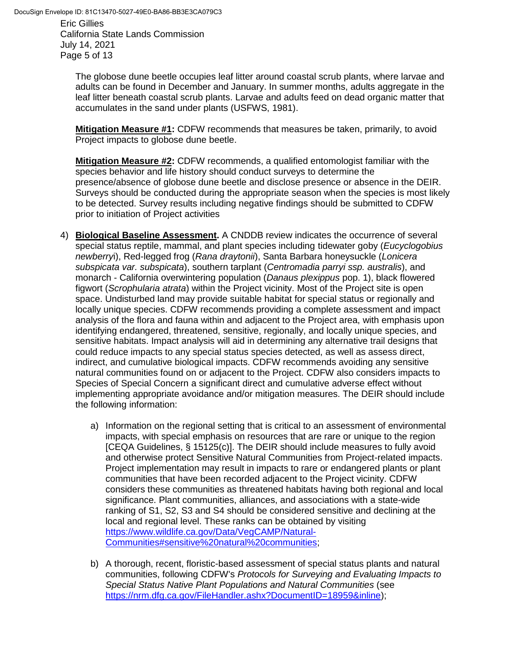Eric Gillies California State Lands Commission July 14, 2021 Page 5 of 13

> The globose dune beetle occupies leaf litter around coastal scrub plants, where larvae and adults can be found in December and January. In summer months, adults aggregate in the leaf litter beneath coastal scrub plants. Larvae and adults feed on dead organic matter that accumulates in the sand under plants (USFWS, 1981).

**Mitigation Measure #1:** CDFW recommends that measures be taken, primarily, to avoid Project impacts to globose dune beetle.

**Mitigation Measure #2:** CDFW recommends, a qualified entomologist familiar with the species behavior and life history should conduct surveys to determine the presence/absence of globose dune beetle and disclose presence or absence in the DEIR. Surveys should be conducted during the appropriate season when the species is most likely to be detected. Survey results including negative findings should be submitted to CDFW prior to initiation of Project activities

- 4) **Biological Baseline Assessment.** A CNDDB review indicates the occurrence of several special status reptile, mammal, and plant species including tidewater goby (*Eucyclogobius newberry*i), Red-legged frog (*Rana draytonii*), Santa Barbara honeysuckle (*Lonicera subspicata var. subspicata*), southern tarplant (*Centromadia parryi ssp. australis*), and monarch - California overwintering population (*Danaus plexippus* pop. 1), black flowered figwort (*Scrophularia atrata*) within the Project vicinity. Most of the Project site is open space. Undisturbed land may provide suitable habitat for special status or regionally and locally unique species. CDFW recommends providing a complete assessment and impact analysis of the flora and fauna within and adjacent to the Project area, with emphasis upon identifying endangered, threatened, sensitive, regionally, and locally unique species, and sensitive habitats. Impact analysis will aid in determining any alternative trail designs that could reduce impacts to any special status species detected, as well as assess direct, indirect, and cumulative biological impacts. CDFW recommends avoiding any sensitive natural communities found on or adjacent to the Project. CDFW also considers impacts to Species of Special Concern a significant direct and cumulative adverse effect without implementing appropriate avoidance and/or mitigation measures. The DEIR should include the following information:
	- a) Information on the regional setting that is critical to an assessment of environmental impacts, with special emphasis on resources that are rare or unique to the region [CEQA Guidelines, § 15125(c)]. The DEIR should include measures to fully avoid and otherwise protect Sensitive Natural Communities from Project-related impacts. Project implementation may result in impacts to rare or endangered plants or plant communities that have been recorded adjacent to the Project vicinity. CDFW considers these communities as threatened habitats having both regional and local significance. Plant communities, alliances, and associations with a state-wide ranking of S1, S2, S3 and S4 should be considered sensitive and declining at the local and regional level. These ranks can be obtained by visiting [https://www.wildlife.ca.gov/Data/VegCAMP/Natural-](https://www.wildlife.ca.gov/Data/VegCAMP/Natural-Communities#sensitive%20natural%20communities)[Communities#sensitive%20natural%20communities;](https://www.wildlife.ca.gov/Data/VegCAMP/Natural-Communities#sensitive%20natural%20communities)
	- b) A thorough, recent, floristic-based assessment of special status plants and natural communities, following CDFW's *Protocols for Surveying and Evaluating Impacts to Special Status Native Plant Populations and Natural Communities* (see [https://nrm.dfg.ca.gov/FileHandler.ashx?DocumentID=18959&inline\)](https://nrm.dfg.ca.gov/FileHandler.ashx?DocumentID=18959&inline);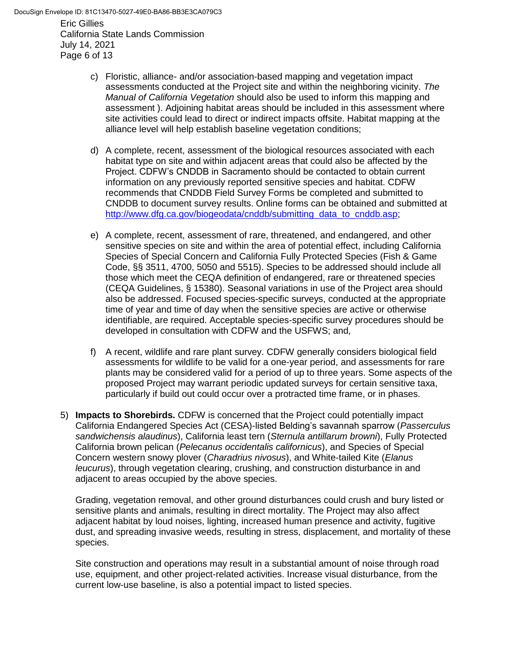- c) Floristic, alliance- and/or association-based mapping and vegetation impact assessments conducted at the Project site and within the neighboring vicinity. *The Manual of California Vegetation* should also be used to inform this mapping and assessment ). Adjoining habitat areas should be included in this assessment where site activities could lead to direct or indirect impacts offsite. Habitat mapping at the alliance level will help establish baseline vegetation conditions;
- d) A complete, recent, assessment of the biological resources associated with each habitat type on site and within adjacent areas that could also be affected by the Project. CDFW's CNDDB in Sacramento should be contacted to obtain current information on any previously reported sensitive species and habitat. CDFW recommends that CNDDB Field Survey Forms be completed and submitted to CNDDB to document survey results. Online forms can be obtained and submitted at [http://www.dfg.ca.gov/biogeodata/cnddb/submitting\\_data\\_to\\_cnddb.asp;](http://www.dfg.ca.gov/biogeodata/cnddb/submitting_data_to_cnddb.asp)
- e) A complete, recent, assessment of rare, threatened, and endangered, and other sensitive species on site and within the area of potential effect, including California Species of Special Concern and California Fully Protected Species (Fish & Game Code, §§ 3511, 4700, 5050 and 5515). Species to be addressed should include all those which meet the CEQA definition of endangered, rare or threatened species (CEQA Guidelines, § 15380). Seasonal variations in use of the Project area should also be addressed. Focused species-specific surveys, conducted at the appropriate time of year and time of day when the sensitive species are active or otherwise identifiable, are required. Acceptable species-specific survey procedures should be developed in consultation with CDFW and the USFWS; and,
- f) A recent, wildlife and rare plant survey. CDFW generally considers biological field assessments for wildlife to be valid for a one-year period, and assessments for rare plants may be considered valid for a period of up to three years. Some aspects of the proposed Project may warrant periodic updated surveys for certain sensitive taxa, particularly if build out could occur over a protracted time frame, or in phases.
- 5) **Impacts to Shorebirds.** CDFW is concerned that the Project could potentially impact California Endangered Species Act (CESA)-listed Belding's savannah sparrow (*Passerculus sandwichensis alaudinus*), California least tern (*Sternula antillarum browni*), Fully Protected California brown pelican (*Pelecanus occidentalis californicus*), and Species of Special Concern western snowy plover (*Charadrius nivosus*), and White-tailed Kite (*Elanus leucurus*), through vegetation clearing, crushing, and construction disturbance in and adjacent to areas occupied by the above species.

Grading, vegetation removal, and other ground disturbances could crush and bury listed or sensitive plants and animals, resulting in direct mortality. The Project may also affect adjacent habitat by loud noises, lighting, increased human presence and activity, fugitive dust, and spreading invasive weeds, resulting in stress, displacement, and mortality of these species.

Site construction and operations may result in a substantial amount of noise through road use, equipment, and other project-related activities. Increase visual disturbance, from the current low-use baseline, is also a potential impact to listed species.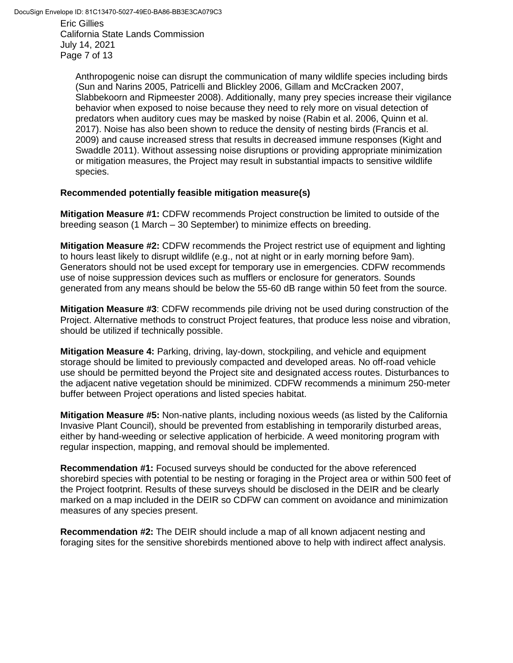Eric Gillies California State Lands Commission July 14, 2021 Page 7 of 13

> Anthropogenic noise can disrupt the communication of many wildlife species including birds (Sun and Narins 2005, Patricelli and Blickley 2006, Gillam and McCracken 2007, Slabbekoorn and Ripmeester 2008). Additionally, many prey species increase their vigilance behavior when exposed to noise because they need to rely more on visual detection of predators when auditory cues may be masked by noise (Rabin et al. 2006, Quinn et al. 2017). Noise has also been shown to reduce the density of nesting birds (Francis et al. 2009) and cause increased stress that results in decreased immune responses (Kight and Swaddle 2011). Without assessing noise disruptions or providing appropriate minimization or mitigation measures, the Project may result in substantial impacts to sensitive wildlife species.

### **Recommended potentially feasible mitigation measure(s)**

**Mitigation Measure #1:** CDFW recommends Project construction be limited to outside of the breeding season (1 March – 30 September) to minimize effects on breeding.

**Mitigation Measure #2:** CDFW recommends the Project restrict use of equipment and lighting to hours least likely to disrupt wildlife (e.g., not at night or in early morning before 9am). Generators should not be used except for temporary use in emergencies. CDFW recommends use of noise suppression devices such as mufflers or enclosure for generators. Sounds generated from any means should be below the 55-60 dB range within 50 feet from the source.

**Mitigation Measure #3**: CDFW recommends pile driving not be used during construction of the Project. Alternative methods to construct Project features, that produce less noise and vibration, should be utilized if technically possible.

**Mitigation Measure 4:** Parking, driving, lay-down, stockpiling, and vehicle and equipment storage should be limited to previously compacted and developed areas. No off-road vehicle use should be permitted beyond the Project site and designated access routes. Disturbances to the adjacent native vegetation should be minimized. CDFW recommends a minimum 250-meter buffer between Project operations and listed species habitat.

**Mitigation Measure #5:** Non-native plants, including noxious weeds (as listed by the California Invasive Plant Council), should be prevented from establishing in temporarily disturbed areas, either by hand-weeding or selective application of herbicide. A weed monitoring program with regular inspection, mapping, and removal should be implemented.

**Recommendation #1:** Focused surveys should be conducted for the above referenced shorebird species with potential to be nesting or foraging in the Project area or within 500 feet of the Project footprint. Results of these surveys should be disclosed in the DEIR and be clearly marked on a map included in the DEIR so CDFW can comment on avoidance and minimization measures of any species present.

**Recommendation #2:** The DEIR should include a map of all known adjacent nesting and foraging sites for the sensitive shorebirds mentioned above to help with indirect affect analysis.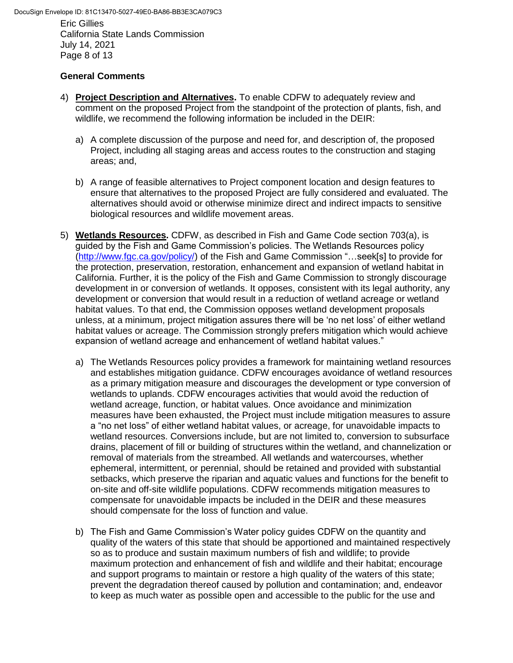#### **General Comments**

- 4) **Project Description and Alternatives.** To enable CDFW to adequately review and comment on the proposed Project from the standpoint of the protection of plants, fish, and wildlife, we recommend the following information be included in the DEIR:
	- a) A complete discussion of the purpose and need for, and description of, the proposed Project, including all staging areas and access routes to the construction and staging areas; and,
	- b) A range of feasible alternatives to Project component location and design features to ensure that alternatives to the proposed Project are fully considered and evaluated. The alternatives should avoid or otherwise minimize direct and indirect impacts to sensitive biological resources and wildlife movement areas.
- 5) **Wetlands Resources.** CDFW, as described in Fish and Game Code section 703(a), is guided by the Fish and Game Commission's policies. The Wetlands Resources policy [\(http://www.fgc.ca.gov/policy/\)](http://www.fgc.ca.gov/policy/) of the Fish and Game Commission "…seek[s] to provide for the protection, preservation, restoration, enhancement and expansion of wetland habitat in California. Further, it is the policy of the Fish and Game Commission to strongly discourage development in or conversion of wetlands. It opposes, consistent with its legal authority, any development or conversion that would result in a reduction of wetland acreage or wetland habitat values. To that end, the Commission opposes wetland development proposals unless, at a minimum, project mitigation assures there will be 'no net loss' of either wetland habitat values or acreage. The Commission strongly prefers mitigation which would achieve expansion of wetland acreage and enhancement of wetland habitat values."
	- a) The Wetlands Resources policy provides a framework for maintaining wetland resources and establishes mitigation guidance. CDFW encourages avoidance of wetland resources as a primary mitigation measure and discourages the development or type conversion of wetlands to uplands. CDFW encourages activities that would avoid the reduction of wetland acreage, function, or habitat values. Once avoidance and minimization measures have been exhausted, the Project must include mitigation measures to assure a "no net loss" of either wetland habitat values, or acreage, for unavoidable impacts to wetland resources. Conversions include, but are not limited to, conversion to subsurface drains, placement of fill or building of structures within the wetland, and channelization or removal of materials from the streambed. All wetlands and watercourses, whether ephemeral, intermittent, or perennial, should be retained and provided with substantial setbacks, which preserve the riparian and aquatic values and functions for the benefit to on-site and off-site wildlife populations. CDFW recommends mitigation measures to compensate for unavoidable impacts be included in the DEIR and these measures should compensate for the loss of function and value.
	- b) The Fish and Game Commission's Water policy guides CDFW on the quantity and quality of the waters of this state that should be apportioned and maintained respectively so as to produce and sustain maximum numbers of fish and wildlife; to provide maximum protection and enhancement of fish and wildlife and their habitat; encourage and support programs to maintain or restore a high quality of the waters of this state; prevent the degradation thereof caused by pollution and contamination; and, endeavor to keep as much water as possible open and accessible to the public for the use and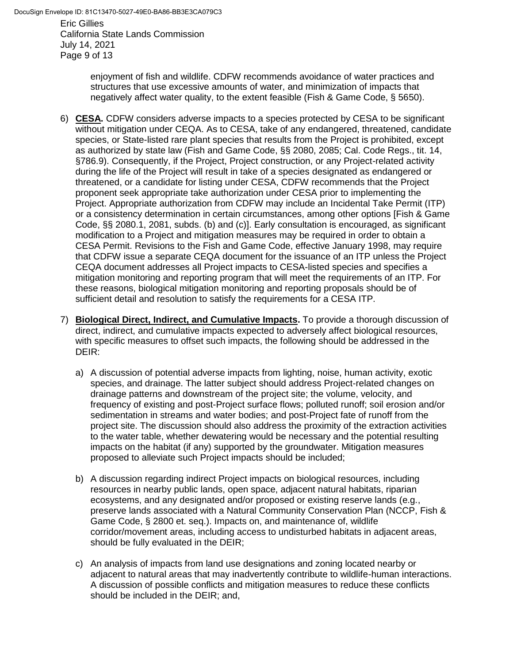Eric Gillies California State Lands Commission July 14, 2021 Page 9 of 13 DocuSign Envelope ID: 81C13470-5027-49E0-BA86-BB3E3CA079C3

> enjoyment of fish and wildlife. CDFW recommends avoidance of water practices and structures that use excessive amounts of water, and minimization of impacts that negatively affect water quality, to the extent feasible (Fish & Game Code, § 5650).

- 6) **CESA.** CDFW considers adverse impacts to a species protected by CESA to be significant without mitigation under CEQA. As to CESA, take of any endangered, threatened, candidate species, or State-listed rare plant species that results from the Project is prohibited, except as authorized by state law (Fish and Game Code, §§ 2080, 2085; Cal. Code Regs., tit. 14, §786.9). Consequently, if the Project, Project construction, or any Project-related activity during the life of the Project will result in take of a species designated as endangered or threatened, or a candidate for listing under CESA, CDFW recommends that the Project proponent seek appropriate take authorization under CESA prior to implementing the Project. Appropriate authorization from CDFW may include an Incidental Take Permit (ITP) or a consistency determination in certain circumstances, among other options [Fish & Game Code, §§ 2080.1, 2081, subds. (b) and (c)]. Early consultation is encouraged, as significant modification to a Project and mitigation measures may be required in order to obtain a CESA Permit. Revisions to the Fish and Game Code, effective January 1998, may require that CDFW issue a separate CEQA document for the issuance of an ITP unless the Project CEQA document addresses all Project impacts to CESA-listed species and specifies a mitigation monitoring and reporting program that will meet the requirements of an ITP. For these reasons, biological mitigation monitoring and reporting proposals should be of sufficient detail and resolution to satisfy the requirements for a CESA ITP.
- 7) **Biological Direct, Indirect, and Cumulative Impacts.** To provide a thorough discussion of direct, indirect, and cumulative impacts expected to adversely affect biological resources, with specific measures to offset such impacts, the following should be addressed in the DEIR:
	- a) A discussion of potential adverse impacts from lighting, noise, human activity, exotic species, and drainage. The latter subject should address Project-related changes on drainage patterns and downstream of the project site; the volume, velocity, and frequency of existing and post-Project surface flows; polluted runoff; soil erosion and/or sedimentation in streams and water bodies; and post-Project fate of runoff from the project site. The discussion should also address the proximity of the extraction activities to the water table, whether dewatering would be necessary and the potential resulting impacts on the habitat (if any) supported by the groundwater. Mitigation measures proposed to alleviate such Project impacts should be included;
	- b) A discussion regarding indirect Project impacts on biological resources, including resources in nearby public lands, open space, adjacent natural habitats, riparian ecosystems, and any designated and/or proposed or existing reserve lands (e.g*.*, preserve lands associated with a Natural Community Conservation Plan (NCCP, Fish & Game Code, § 2800 et. seq.). Impacts on, and maintenance of, wildlife corridor/movement areas, including access to undisturbed habitats in adjacent areas, should be fully evaluated in the DEIR;
	- c) An analysis of impacts from land use designations and zoning located nearby or adjacent to natural areas that may inadvertently contribute to wildlife-human interactions. A discussion of possible conflicts and mitigation measures to reduce these conflicts should be included in the DEIR; and,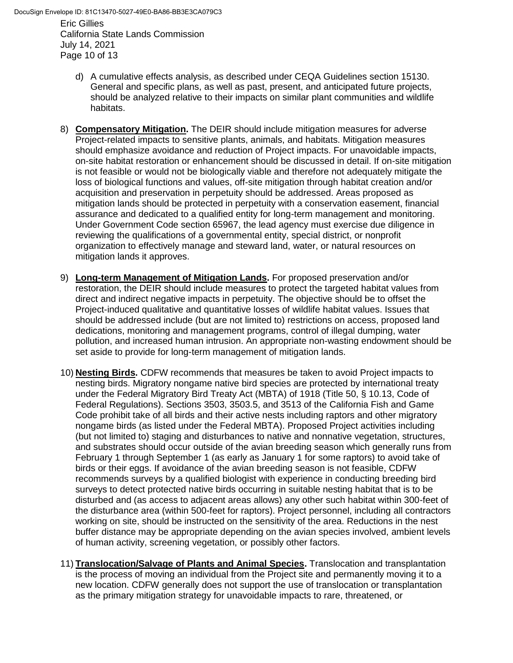Eric Gillies California State Lands Commission July 14, 2021 Page 10 of 13 DocuSign Envelope ID: 81C13470-5027-49E0-BA86-BB3E3CA079C3

- d) A cumulative effects analysis, as described under CEQA Guidelines section 15130. General and specific plans, as well as past, present, and anticipated future projects, should be analyzed relative to their impacts on similar plant communities and wildlife habitats.
- 8) **Compensatory Mitigation.** The DEIR should include mitigation measures for adverse Project-related impacts to sensitive plants, animals, and habitats. Mitigation measures should emphasize avoidance and reduction of Project impacts. For unavoidable impacts, on-site habitat restoration or enhancement should be discussed in detail. If on-site mitigation is not feasible or would not be biologically viable and therefore not adequately mitigate the loss of biological functions and values, off-site mitigation through habitat creation and/or acquisition and preservation in perpetuity should be addressed. Areas proposed as mitigation lands should be protected in perpetuity with a conservation easement, financial assurance and dedicated to a qualified entity for long-term management and monitoring. Under Government Code section 65967, the lead agency must exercise due diligence in reviewing the qualifications of a governmental entity, special district, or nonprofit organization to effectively manage and steward land, water, or natural resources on mitigation lands it approves.
- 9) **Long-term Management of Mitigation Lands.** For proposed preservation and/or restoration, the DEIR should include measures to protect the targeted habitat values from direct and indirect negative impacts in perpetuity. The objective should be to offset the Project-induced qualitative and quantitative losses of wildlife habitat values. Issues that should be addressed include (but are not limited to) restrictions on access, proposed land dedications, monitoring and management programs, control of illegal dumping, water pollution, and increased human intrusion. An appropriate non-wasting endowment should be set aside to provide for long-term management of mitigation lands.
- 10) **Nesting Birds.** CDFW recommends that measures be taken to avoid Project impacts to nesting birds. Migratory nongame native bird species are protected by international treaty under the Federal Migratory Bird Treaty Act (MBTA) of 1918 (Title 50, § 10.13, Code of Federal Regulations). Sections 3503, 3503.5, and 3513 of the California Fish and Game Code prohibit take of all birds and their active nests including raptors and other migratory nongame birds (as listed under the Federal MBTA). Proposed Project activities including (but not limited to) staging and disturbances to native and nonnative vegetation, structures, and substrates should occur outside of the avian breeding season which generally runs from February 1 through September 1 (as early as January 1 for some raptors) to avoid take of birds or their eggs. If avoidance of the avian breeding season is not feasible, CDFW recommends surveys by a qualified biologist with experience in conducting breeding bird surveys to detect protected native birds occurring in suitable nesting habitat that is to be disturbed and (as access to adjacent areas allows) any other such habitat within 300-feet of the disturbance area (within 500-feet for raptors). Project personnel, including all contractors working on site, should be instructed on the sensitivity of the area. Reductions in the nest buffer distance may be appropriate depending on the avian species involved, ambient levels of human activity, screening vegetation, or possibly other factors.
- 11) **Translocation/Salvage of Plants and Animal Species.** Translocation and transplantation is the process of moving an individual from the Project site and permanently moving it to a new location. CDFW generally does not support the use of translocation or transplantation as the primary mitigation strategy for unavoidable impacts to rare, threatened, or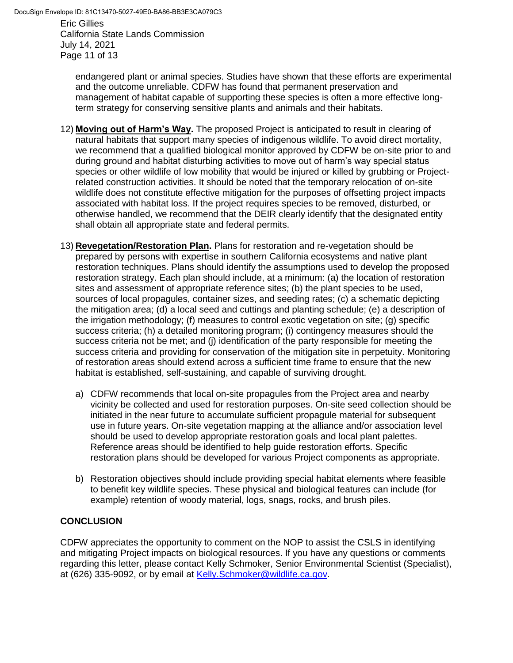Eric Gillies California State Lands Commission July 14, 2021 Page 11 of 13

endangered plant or animal species. Studies have shown that these efforts are experimental and the outcome unreliable. CDFW has found that permanent preservation and management of habitat capable of supporting these species is often a more effective longterm strategy for conserving sensitive plants and animals and their habitats.

- 12) **Moving out of Harm's Way.** The proposed Project is anticipated to result in clearing of natural habitats that support many species of indigenous wildlife. To avoid direct mortality, we recommend that a qualified biological monitor approved by CDFW be on-site prior to and during ground and habitat disturbing activities to move out of harm's way special status species or other wildlife of low mobility that would be injured or killed by grubbing or Projectrelated construction activities. It should be noted that the temporary relocation of on-site wildlife does not constitute effective mitigation for the purposes of offsetting project impacts associated with habitat loss. If the project requires species to be removed, disturbed, or otherwise handled, we recommend that the DEIR clearly identify that the designated entity shall obtain all appropriate state and federal permits.
- 13) **Revegetation/Restoration Plan.** Plans for restoration and re-vegetation should be prepared by persons with expertise in southern California ecosystems and native plant restoration techniques. Plans should identify the assumptions used to develop the proposed restoration strategy. Each plan should include, at a minimum: (a) the location of restoration sites and assessment of appropriate reference sites; (b) the plant species to be used, sources of local propagules, container sizes, and seeding rates; (c) a schematic depicting the mitigation area; (d) a local seed and cuttings and planting schedule; (e) a description of the irrigation methodology; (f) measures to control exotic vegetation on site; (g) specific success criteria; (h) a detailed monitoring program; (i) contingency measures should the success criteria not be met; and (j) identification of the party responsible for meeting the success criteria and providing for conservation of the mitigation site in perpetuity. Monitoring of restoration areas should extend across a sufficient time frame to ensure that the new habitat is established, self-sustaining, and capable of surviving drought.
	- a) CDFW recommends that local on-site propagules from the Project area and nearby vicinity be collected and used for restoration purposes. On-site seed collection should be initiated in the near future to accumulate sufficient propagule material for subsequent use in future years. On-site vegetation mapping at the alliance and/or association level should be used to develop appropriate restoration goals and local plant palettes. Reference areas should be identified to help guide restoration efforts. Specific restoration plans should be developed for various Project components as appropriate.
	- b) Restoration objectives should include providing special habitat elements where feasible to benefit key wildlife species. These physical and biological features can include (for example) retention of woody material, logs, snags, rocks, and brush piles.

# **CONCLUSION**

CDFW appreciates the opportunity to comment on the NOP to assist the CSLS in identifying and mitigating Project impacts on biological resources. If you have any questions or comments regarding this letter, please contact Kelly Schmoker, Senior Environmental Scientist (Specialist), at (626) 335-9092, or by email at [Kelly.Schmoker@wildlife.ca.gov.](mailto:Kelly.Schmoker@wildlife.ca.gov)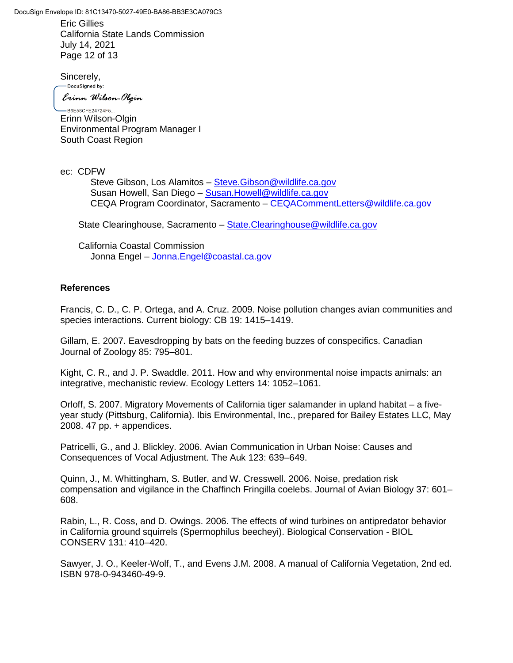Eric Gillies California State Lands Commission July 14, 2021 Page 12 of 13

Sincerely, -DocuSigned by:

Erinn Wilson-Olgin

-B6E58CFE24724F5... Erinn Wilson-Olgin Environmental Program Manager I South Coast Region

ec: CDFW

Steve Gibson, Los Alamitos – [Steve.Gibson@wildlife.ca.gov](mailto:Steve.Gibson@wildlife.ca.gov) Susan Howell, San Diego – [Susan.Howell@wildlife.ca.gov](mailto:Susan.Howell@wildlife.ca.gov) CEQA Program Coordinator, Sacramento – [CEQACommentLetters@wildlife.ca.gov](mailto:CEQACommentLetters@wildlife.ca.gov)

State Clearinghouse, Sacramento – State. Clearinghouse @wildlife.ca.gov

 California Coastal Commission Jonna Engel - [Jonna.Engel@coastal.ca.gov](mailto:Jonna.Engel@coastal.ca.gov)

## **References**

Francis, C. D., C. P. Ortega, and A. Cruz. 2009. Noise pollution changes avian communities and species interactions. Current biology: CB 19: 1415–1419.

Gillam, E. 2007. Eavesdropping by bats on the feeding buzzes of conspecifics. Canadian Journal of Zoology 85: 795–801.

Kight, C. R., and J. P. Swaddle. 2011. How and why environmental noise impacts animals: an integrative, mechanistic review. Ecology Letters 14: 1052–1061.

Orloff, S. 2007. Migratory Movements of California tiger salamander in upland habitat – a fiveyear study (Pittsburg, California). Ibis Environmental, Inc., prepared for Bailey Estates LLC, May 2008. 47 pp. + appendices.

Patricelli, G., and J. Blickley. 2006. Avian Communication in Urban Noise: Causes and Consequences of Vocal Adjustment. The Auk 123: 639–649.

Quinn, J., M. Whittingham, S. Butler, and W. Cresswell. 2006. Noise, predation risk compensation and vigilance in the Chaffinch Fringilla coelebs. Journal of Avian Biology 37: 601– 608.

Rabin, L., R. Coss, and D. Owings. 2006. The effects of wind turbines on antipredator behavior in California ground squirrels (Spermophilus beecheyi). Biological Conservation - BIOL CONSERV 131: 410–420.

Sawyer, J. O., Keeler-Wolf, T., and Evens J.M. 2008. A manual of California Vegetation, 2nd ed. ISBN 978-0-943460-49-9.